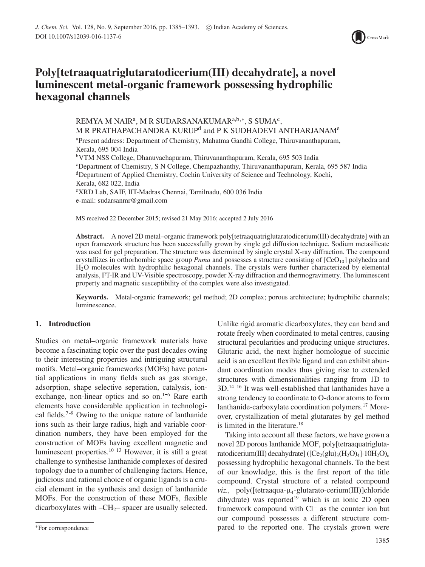

# **Poly[tetraaquatriglutaratodicerium(III) decahydrate], a novel luminescent metal-organic framework possessing hydrophilic hexagonal channels**

REMYA M NAIR<sup>a</sup>, M R SUDARSANAKUMAR<sup>a,b,\*</sup>, S SUMA<sup>c</sup>, M R PRATHAPACHANDRA KURUP<sup>d</sup> and P K SUDHADEVI ANTHARJANAM<sup>e</sup> a Present address: Department of Chemistry, Mahatma Gandhi College, Thiruvananthapuram, Kerala, 695 004 India bVTM NSS College, Dhanuvachapuram, Thiruvananthapuram, Kerala, 695 503 India c Department of Chemistry, S N College, Chempazhanthy, Thiruvananthapuram, Kerala, 695 587 India dDepartment of Applied Chemistry, Cochin University of Science and Technology, Kochi, Kerala, 682 022, India e XRD Lab, SAIF, IIT-Madras Chennai, Tamilnadu, 600 036 India e-mail: sudarsanmr@gmail.com

MS received 22 December 2015; revised 21 May 2016; accepted 2 July 2016

**Abstract.** A novel 2D metal–organic framework poly[tetraaquatriglutaratodicerium(III) decahydrate] with an open framework structure has been successfully grown by single gel diffusion technique. Sodium metasilicate was used for gel preparation. The structure was determined by single crystal X-ray diffraction. The compound crystallizes in orthorhombic space group *Pnma* and possesses a structure consisting of [CeO<sub>10</sub>] polyhedra and H2O molecules with hydrophilic hexagonal channels. The crystals were further characterized by elemental analysis, FT-IR and UV-Visible spectroscopy, powder X-ray diffraction and thermogravimetry. The luminescent property and magnetic susceptibility of the complex were also investigated.

**Keywords.** Metal-organic framework; gel method; 2D complex; porous architecture; hydrophilic channels; luminescence.

# **1. Introduction**

Studies on metal–organic framework materials have become a fascinating topic over the past decades owing to their interesting properties and intriguing structural motifs. Metal–organic frameworks (MOFs) have potential applications in many fields such as gas storage, adsorption, shape selective seperation, catalysis, ionexchange, non-linear optics and so on. $1-6$  Rare earth elements have considerable application in technological fields.<sup>7-9</sup> Owing to the unique nature of lanthanide ions such as their large radius, high and variable coordination numbers, they have been employed for the construction of MOFs having excellent magnetic and luminescent properties. $10-13$  However, it is still a great challenge to synthesise lanthanide complexes of desired topology due to a number of challenging factors. Hence, judicious and rational choice of organic ligands is a crucial element in the synthesis and design of lanthanide MOFs. For the construction of these MOFs, flexible dicarboxylates with  $-CH_2$ – spacer are usually selected. Unlike rigid aromatic dicarboxylates, they can bend and rotate freely when coordinated to metal centres, causing structural pecularities and producing unique structures. Glutaric acid, the next higher homologue of succinic acid is an excellent flexible ligand and can exhibit abundant coordination modes thus giving rise to extended structures with dimensionalities ranging from 1D to  $3D<sup>14-16</sup>$  It was well-established that lanthanides have a strong tendency to coordinate to O-donor atoms to form lanthanide-carboxylate coordination polymers.17 Moreover, crystallization of metal glutarates by gel method is limited in the literature.<sup>18</sup>

Taking into account all these factors, we have grown a novel 2D porous lanthanide MOF, poly[tetraaquatriglutaratodicerium(III) decahydrate] ( $[Ce<sub>2</sub>(glu)<sub>3</sub>(H<sub>2</sub>O)<sub>4</sub>] \cdot 10H<sub>2</sub>O]<sub>n</sub>$ possessing hydrophilic hexagonal channels. To the best of our knowledge, this is the first report of the title compound. Crystal structure of a related compound *viz.,* poly([tetraaqua-μ4-glutarato-cerium(III)]chloride dihydrate) was reported<sup>19</sup> which is an ionic 2D open framework compound with Cl<sup>−</sup> as the counter ion but our compound possesses a different structure compared to the reported one. The crystals grown were

<sup>∗</sup>For correspondence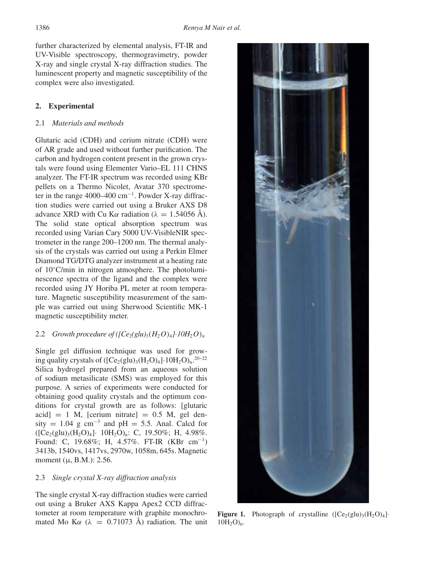further characterized by elemental analysis, FT-IR and UV-Visible spectroscopy, thermogravimetry, powder X-ray and single crystal X-ray diffraction studies. The luminescent property and magnetic susceptibility of the complex were also investigated.

# **2. Experimental**

# 2.1 *Materials and methods*

Glutaric acid (CDH) and cerium nitrate (CDH) were of AR grade and used without further purification. The carbon and hydrogen content present in the grown crystals were found using Elementer Vario–EL 111 CHNS analyzer. The FT-IR spectrum was recorded using KBr pellets on a Thermo Nicolet, Avatar 370 spectrometer in the range 4000–400 cm<sup>-1</sup>. Powder X-ray diffraction studies were carried out using a Bruker AXS D8 advance XRD with Cu K $\alpha$  radiation ( $\lambda = 1.54056$  Å). The solid state optical absorption spectrum was recorded using Varian Cary 5000 UV-VisibleNIR spectrometer in the range 200–1200 nm. The thermal analysis of the crystals was carried out using a Perkin Elmer Diamond TG/DTG analyzer instrument at a heating rate of 10◦C/min in nitrogen atmosphere. The photoluminescence spectra of the ligand and the complex were recorded using JY Horiba PL meter at room temperature. Magnetic susceptibility measurement of the sample was carried out using Sherwood Scientific MK-1 magnetic susceptibility meter.

## 2.2 *Growth procedure of*  $(\sqrt{C}e_2 \text{g} \ln \text{g}) (H_2O)_4$ *<sup>1</sup>·10H<sub>2</sub>O*)<sub>n</sub>

Single gel diffusion technique was used for growing quality crystals of  $( [Ce<sub>2</sub>(glu)<sub>3</sub>(H<sub>2</sub>O)<sub>4</sub>]+10H<sub>2</sub>O)<sub>n</sub>.<sup>20-22</sup>$ Silica hydrogel prepared from an aqueous solution of sodium metasilicate (SMS) was employed for this purpose. A series of experiments were conducted for obtaining good quality crystals and the optimum conditions for crystal growth are as follows: [glutaric  $\text{acid}$  = 1 M, [cerium nitrate] = 0.5 M, gel density = 1.04 g cm<sup>-3</sup> and pH = 5.5. Anal. Calcd for  $({[Ce<sub>2</sub>(glu)<sub>3</sub>(H<sub>2</sub>O)<sub>4</sub>]-10H<sub>2</sub>O)<sub>n</sub>: C, 19.50%; H, 4.98%.$ Found: C, 19.68%; H, 4.57%. FT-IR (KBr cm<sup>-1</sup>) 3413b, 1540vs, 1417vs, 2970w, 1058m, 645s. Magnetic moment ( $\mu$ , B.M.): 2.56.

# 2.3 *Single crystal X-ray diffraction analysis*

The single crystal X-ray diffraction studies were carried out using a Bruker AXS Kappa Apex2 CCD diffractometer at room temperature with graphite monochromated Mo K $\alpha$  ( $\lambda$  = 0.71073 Å) radiation. The unit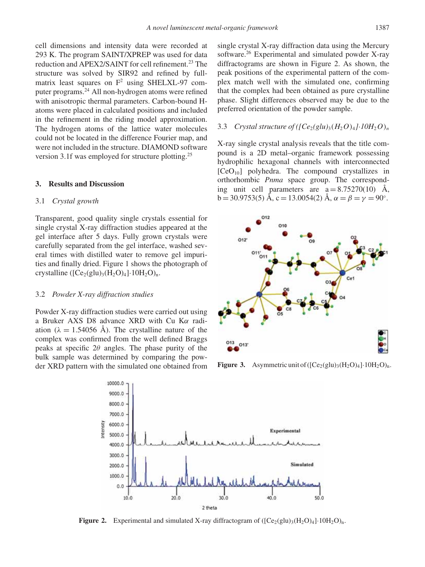cell dimensions and intensity data were recorded at 293 K. The program SAINT/XPREP was used for data reduction and APEX2/SAINT for cell refinement.<sup>23</sup> The structure was solved by SIR92 and refined by fullmatrix least squares on  $F^2$  using SHELXL-97 computer programs.24 All non-hydrogen atoms were refined with anisotropic thermal parameters. Carbon-bound Hatoms were placed in calculated positions and included in the refinement in the riding model approximation. The hydrogen atoms of the lattice water molecules could not be located in the difference Fourier map, and were not included in the structure. DIAMOND software version 3.1f was employed for structure plotting.25

## **3. Results and Discussion**

## 3.1 *Crystal growth*

Transparent, good quality single crystals essential for single crystal X-ray diffraction studies appeared at the gel interface after 5 days. Fully grown crystals were carefully separated from the gel interface, washed several times with distilled water to remove gel impurities and finally dried. Figure 1 shows the photograph of crystalline  $([Ce<sub>2</sub>(glu)<sub>3</sub>(H<sub>2</sub>O)<sub>4</sub>]\cdot 10H<sub>2</sub>O)<sub>n</sub>$ .

#### 3.2 *Powder X-ray diffraction studies*

Powder X-ray diffraction studies were carried out using a Bruker AXS D8 advance XRD with Cu Kα radiation ( $\lambda = 1.54056$  Å). The crystalline nature of the complex was confirmed from the well defined Braggs peaks at specific  $2\theta$  angles. The phase purity of the bulk sample was determined by comparing the powder XRD pattern with the simulated one obtained from single crystal X-ray diffraction data using the Mercury software.<sup>26</sup> Experimental and simulated powder X-ray diffractograms are shown in Figure 2. As shown, the peak positions of the experimental pattern of the complex match well with the simulated one, confirming that the complex had been obtained as pure crystalline phase. Slight differences observed may be due to the preferred orientation of the powder sample.

## 3.3 *Crystal structure of*  $\left(\frac{C_e}{glu}\right)$  $\left(\frac{H_2O}{4}\right)$ <sup>1</sup> $\cdot$ 10H<sub>2</sub>O)<sub>n</sub>

X-ray single crystal analysis reveals that the title compound is a 2D metal–organic framework possessing hydrophilic hexagonal channels with interconnected  $[CeO<sub>10</sub>]$  polyhedra. The compound crystallizes in orthorhombic *Pnma* space group. The corresponding unit cell parameters are  $a = 8.75270(10)$  Å,  $b = 30.9753(5)$  Å,  $c = 13.0054(2)$  Å,  $\alpha = \beta = \gamma = 90^{\circ}$ .



**Figure 3.** Asymmetric unit of  $((Ce<sub>2</sub>(glu)<sub>3</sub>(H<sub>2</sub>O)<sub>4</sub>)\cdot 10H<sub>2</sub>O)<sub>n</sub>$ .



**Figure 2.** Experimental and simulated X-ray diffractogram of  $[(Ce_2(glu)_3(H_2O)_4] \cdot 10H_2O)_n$ .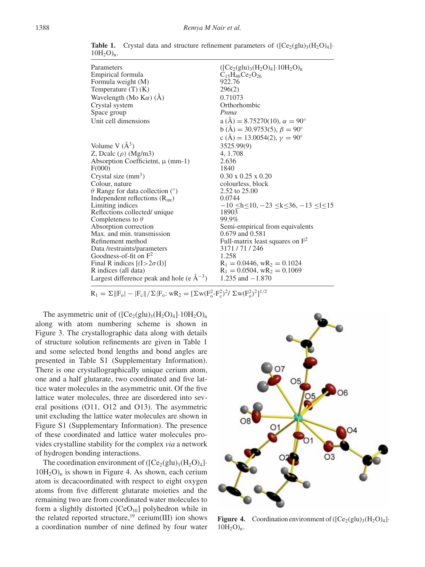| Parameters                                       | $([Ce2(glu)3(H2O)4]\cdot 10H2O)n$                                                    |
|--------------------------------------------------|--------------------------------------------------------------------------------------|
| Empirical formula                                | $C_{15}H_{46}Ce_2O_{26}$                                                             |
| Formula weight (M)                               | 922.76                                                                               |
| Temperature $(T)$ (K)                            | 296(2)                                                                               |
| Wavelength (Mo $K\alpha$ ) (Å)                   | 0.71073                                                                              |
| Crystal system                                   | Orthorhombic                                                                         |
| Space group                                      | Pnma                                                                                 |
| Unit cell dimensions                             | a (Å) = 8.75270(10), $\alpha = 90^{\circ}$                                           |
|                                                  | $b(A) = 30.9753(5), \beta = 90^{\circ}$                                              |
|                                                  | c (Å) = 13.0054(2), $\gamma = 90^{\circ}$                                            |
| Volume V $(\AA^3)$                               | 3525.99(9)                                                                           |
| Z, Deale $(\rho)$ (Mg/m3)                        | 4, 1.708                                                                             |
| Absorption Coefficient, $\mu$ (mm-1)             | 2.636                                                                                |
| F(000)                                           | 1840                                                                                 |
| Crystal size $(mm3)$                             | $0.30 \times 0.25 \times 0.20$                                                       |
| Colour, nature                                   | colourless, block                                                                    |
| $\theta$ Range for data collection (°)           | 2.52 to 25.00                                                                        |
| Independent reflections $(Rint)$                 | 0.0744                                                                               |
| Limiting indices                                 | $-10$ <h 10,="" <="" <math="">-23 <k 36,="" <="" <math="">-13 &lt; k &lt; 15</k></h> |
| Reflections collected/ unique                    | 18903                                                                                |
| Completeness to $\theta$                         | 99.9%                                                                                |
| Absorption correction                            | Semi-empirical from equivalents                                                      |
| Max, and min, transmission                       | $0.679$ and $0.581$                                                                  |
| Refinement method                                | Full-matrix least squares on $F^2$                                                   |
| Data/restraints/parameters                       | 3171/71/246                                                                          |
| Goodness-of-fit on $F^2$                         | 1.258                                                                                |
| Final R indices $[(I>2\sigma(I))]$               | $R_1 = 0.0446$ , w $R_2 = 0.1024$                                                    |
| R indices (all data)                             | $R_1 = 0.0504$ , w $R_2 = 0.1069$                                                    |
| Largest difference peak and hole (e $\AA^{-3}$ ) | 1.235 and $-1.870$                                                                   |

**Table 1.** Crystal data and structure refinement parameters of  $(Ce_2(glu)_3(H_2O)_4)$ .  $10H_2O$ <sub>n</sub>.

 $R_1 = \Sigma ||F_o| - |F_c|| / \Sigma |F_o: wR_2 = [\Sigma w (F_o^2 - F_c^2)^2 / \Sigma w (F_o^2)^2]^{1/2}$ 

The asymmetric unit of  $([Ce<sub>2</sub>(glu)<sub>3</sub>(H<sub>2</sub>O)<sub>4</sub>]+10H<sub>2</sub>O)<sub>n</sub>$ along with atom numbering scheme is shown in Figure 3. The crystallographic data along with details of structure solution refinements are given in Table 1 and some selected bond lengths and bond angles are presented in Table S1 (Supplementary Information). There is one crystallographically unique cerium atom, one and a half glutarate, two coordinated and five lattice water molecules in the asymmetric unit. Of the five lattice water molecules, three are disordered into several positions (O11, O12 and O13). The asymmetric unit excluding the lattice water molecules are shown in Figure S1 (Supplementary Information). The presence of these coordinated and lattice water molecules provides crystalline stability for the complex *via* a network of hydrogen bonding interactions.

The coordination environment of  $([Ce<sub>2</sub>(glu)<sub>3</sub>(H<sub>2</sub>O)<sub>4</sub>]$ .  $10H<sub>2</sub>O<sub>n</sub>$  is shown in Figure 4. As shown, each cerium atom is decacoordinated with respect to eight oxygen atoms from five different glutarate moieties and the remaining two are from coordinated water molecules to form a slightly distorted  $[CeO<sub>10</sub>]$  polyhedron while in the related reported structure,<sup>19</sup> cerium(III) ion shows a coordination number of nine defined by four water



**Figure 4.** Coordination environment of  $([Ce<sub>2</sub>(glu)<sub>3</sub>(H<sub>2</sub>O)<sub>4</sub>]$ .  $10H_2O$ <sub>n</sub>.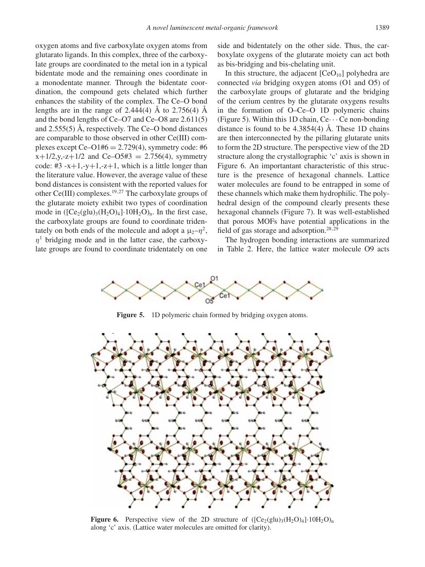oxygen atoms and five carboxylate oxygen atoms from glutarato ligands. In this complex, three of the carboxylate groups are coordinated to the metal ion in a typical bidentate mode and the remaining ones coordinate in a monodentate manner. Through the bidentate coordination, the compound gets chelated which further enhances the stability of the complex. The Ce–O bond lengths are in the range of  $2.444(4)$  Å to  $2.756(4)$  Å and the bond lengths of Ce–O7 and Ce–O8 are 2.611(5) and 2.555(5) Å, respectively. The Ce–O bond distances are comparable to those observed in other Ce(III) complexes except Ce–O1# $6 = 2.729(4)$ , symmetry code: #6  $x+1/2$ , y,-z+1/2 and Ce–O5#3 = 2.756(4), symmetry code:  $\#3 -x+1$ ,-v+1,-z+1, which is a little longer than the literature value. However, the average value of these bond distances is consistent with the reported values for other Ce(III) complexes.<sup>19,27</sup> The carboxylate groups of the glutarate moiety exhibit two types of coordination mode in  $(\text{[Ce}_2(\text{glu})_3(\text{H}_2\text{O})_4)\cdot 10\text{H}_2\text{O})_n$ . In the first case, the carboxylate groups are found to coordinate tridentately on both ends of the molecule and adopt a  $\mu_2-\eta^2$ ,  $\eta$ <sup>1</sup> bridging mode and in the latter case, the carboxylate groups are found to coordinate tridentately on one

side and bidentately on the other side. Thus, the carboxylate oxygens of the glutarate moiety can act both as bis-bridging and bis-chelating unit.

In this structure, the adjacent  $[CeO<sub>10</sub>]$  polyhedra are connected *via* bridging oxygen atoms (O1 and O5) of the carboxylate groups of glutarate and the bridging of the cerium centres by the glutarate oxygens results in the formation of O–Ce–O 1D polymeric chains (Figure 5). Within this 1D chain,  $Ce \cdots Ce$  non-bonding distance is found to be  $4.3854(4)$  Å. These 1D chains are then interconnected by the pillaring glutarate units to form the 2D structure. The perspective view of the 2D structure along the crystallographic 'c' axis is shown in Figure 6. An importantant characteristic of this structure is the presence of hexagonal channels. Lattice water molecules are found to be entrapped in some of these channels which make them hydrophilic. The polyhedral design of the compound clearly presents these hexagonal channels (Figure 7). It was well-established that porous MOFs have potential applications in the field of gas storage and adsorption.<sup>28,29</sup>

The hydrogen bonding interactions are summarized in Table 2. Here, the lattice water molecule O9 acts



**Figure 5.** 1D polymeric chain formed by bridging oxygen atoms.



**Figure 6.** Perspective view of the 2D structure of  $([Ce<sub>2</sub>(glu)<sub>3</sub>(H<sub>2</sub>O)<sub>4</sub>]+10H<sub>2</sub>O)<sub>n</sub>$ along 'c' axis. (Lattice water molecules are omitted for clarity).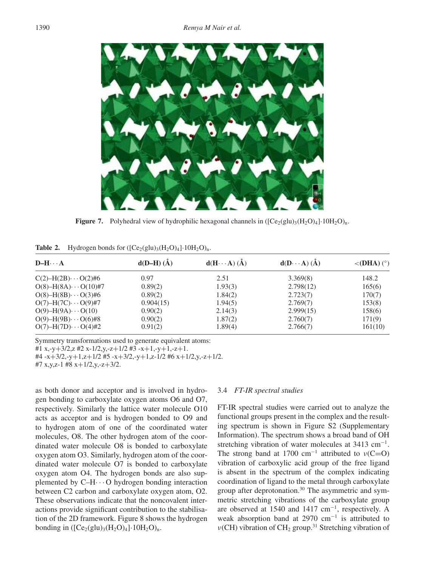

**Figure 7.** Polyhedral view of hydrophilic hexagonal channels in  $([Ce<sub>2</sub>(glu)<sub>3</sub>(H<sub>2</sub>O)<sub>4</sub>]\cdot 10H<sub>2</sub>O)<sub>n</sub>$ .

**Table 2.** Hydrogen bonds for  $([Ce<sub>2</sub>(glu)<sub>3</sub>(H<sub>2</sub>O)<sub>4</sub>]\cdot 10H<sub>2</sub>O)<sub>n</sub>$ .

| $D-H \cdots A$                  | $d(D-H) (\AA)$ | $d(H \cdots A) (\AA)$ | $d(D \cdots A) (\AA)$ | $\langle$ (DHA) (°) |
|---------------------------------|----------------|-----------------------|-----------------------|---------------------|
| $C(2) - H(2B) \cdots O(2) \# 6$ | 0.97           | 2.51                  | 3.369(8)              | 148.2               |
| $O(8) - H(8A) \cdots O(10)$ #7  | 0.89(2)        | 1.93(3)               | 2.798(12)             | 165(6)              |
| $O(8) - H(8B) \cdots O(3)$ #6   | 0.89(2)        | 1.84(2)               | 2.723(7)              | 170(7)              |
| $O(7)$ -H(7C) $\cdots$ O(9)#7   | 0.904(15)      | 1.94(5)               | 2.769(7)              | 153(8)              |
| $O(9) - H(9A) \cdots O(10)$     | 0.90(2)        | 2.14(3)               | 2.999(15)             | 158(6)              |
| $O(9)$ -H(9B) $\cdots$ O(6)#8   | 0.90(2)        | 1.87(2)               | 2.760(7)              | 171(9)              |
| $O(7) - H(7D) \cdots O(4) \#2$  | 0.91(2)        | 1.89(4)               | 2.766(7)              | 161(10)             |

Symmetry transformations used to generate equivalent atoms:

#1 x,-y+3/2,z #2 x-1/2,y,-z+1/2 #3 -x+1,-y+1,-z+1.

#4 -x+3/2,-y+1,z+1/2 #5 -x+3/2,-y+1,z-1/2 #6 x+1/2,y,-z+1/2.

#7 x,y,z-1 #8 x+1/2,y,-z+3/2.

as both donor and acceptor and is involved in hydrogen bonding to carboxylate oxygen atoms O6 and O7, respectively. Similarly the lattice water molecule O10 acts as acceptor and is hydrogen bonded to O9 and to hydrogen atom of one of the coordinated water molecules, O8. The other hydrogen atom of the coordinated water molecule O8 is bonded to carboxylate oxygen atom O3. Similarly, hydrogen atom of the coordinated water molecule O7 is bonded to carboxylate oxygen atom O4. The hydrogen bonds are also supplemented by  $C-H \cdots O$  hydrogen bonding interaction between C<sub>2</sub> carbon and carboxylate oxygen atom, O<sub>2</sub>. These observations indicate that the noncovalent interactions provide significant contribution to the stabilisation of the 2D framework. Figure 8 shows the hydrogen bonding in  $(Ce_2(glu)_3(H_2O)_4|\cdot 10H_2O)_n$ .

### 3.4 *FT-IR spectral studies*

FT-IR spectral studies were carried out to analyze the functional groups present in the complex and the resulting spectrum is shown in Figure S2 (Supplementary Information). The spectrum shows a broad band of OH stretching vibration of water molecules at 3413 cm<sup>-1</sup>. The strong band at 1700 cm<sup>-1</sup> attributed to  $v(C=O)$ vibration of carboxylic acid group of the free ligand is absent in the spectrum of the complex indicating coordination of ligand to the metal through carboxylate group after deprotonation.30 The asymmetric and symmetric stretching vibrations of the carboxylate group are observed at 1540 and 1417 cm−1, respectively. A weak absorption band at 2970  $cm^{-1}$  is attributed to  $ν$ (CH) vibration of CH<sub>2</sub> group.<sup>31</sup> Stretching vibration of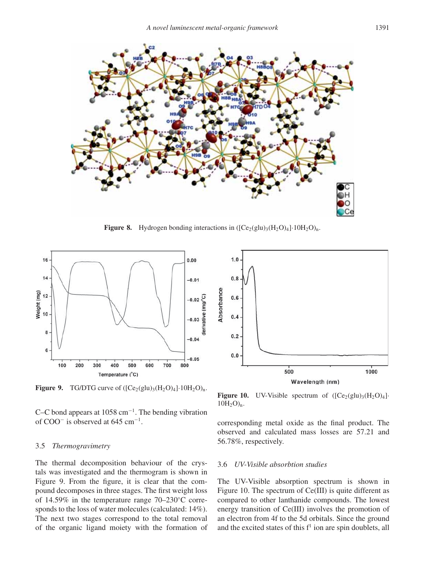

**Figure 8.** Hydrogen bonding interactions in  $\left( \frac{\text{Ce}_2(\text{glu})_3(\text{H}_2\text{O})_4 \cdot 10\text{H}_2\text{O}}{\text{n}} \right)$ 



**Figure 9.** TG/DTG curve of  $([Ce<sub>2</sub>(glu)<sub>3</sub>(H<sub>2</sub>O)<sub>4</sub>]\cdot 10H<sub>2</sub>O)<sub>n</sub>$ .

C–C bond appears at 1058 cm−1. The bending vibration of COO<sup>−</sup> is observed at 645 cm−1.

## 3.5 *Thermogravimetry*

The thermal decomposition behaviour of the crystals was investigated and the thermogram is shown in Figure 9. From the figure, it is clear that the compound decomposes in three stages. The first weight loss of 14.59% in the temperature range 70–230◦C corresponds to the loss of water molecules (calculated: 14%). The next two stages correspond to the total removal of the organic ligand moiety with the formation of



**Figure 10.** UV-Visible spectrum of  $([Ce<sub>2</sub>(glu)<sub>3</sub>(H<sub>2</sub>O)<sub>4</sub>]$ .  $10H_2O$ <sub>n</sub>.

corresponding metal oxide as the final product. The observed and calculated mass losses are 57.21 and 56.78%, respectively.

## 3.6 *UV-Visible absorbtion studies*

The UV-Visible absorption spectrum is shown in Figure 10. The spectrum of Ce(III) is quite different as compared to other lanthanide compounds. The lowest energy transition of Ce(III) involves the promotion of an electron from 4f to the 5d orbitals. Since the ground and the excited states of this  $f<sup>1</sup>$  ion are spin doublets, all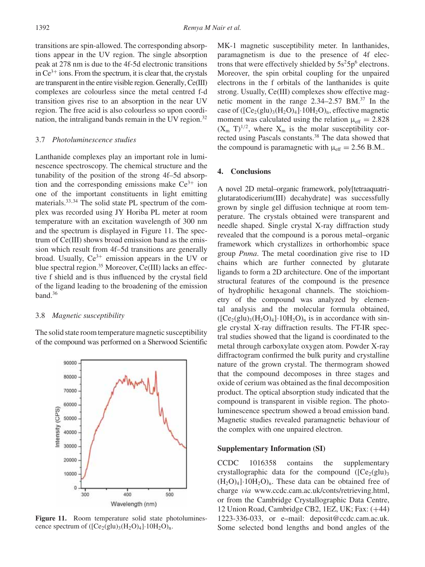transitions are spin-allowed. The corresponding absorptions appear in the UV region. The single absorption peak at 278 nm is due to the 4f-5d electronic transitions in  $Ce^{3+}$  ions. From the spectrum, it is clear that, the crystals are transparent in the entire visible region. Generally, Ce(III) complexes are colourless since the metal centred f-d transition gives rise to an absorption in the near UV region. The free acid is also colourless so upon coordination, the intraligand bands remain in the UV region.<sup>32</sup>

# 3.7 *Photoluminescence studies*

Lanthanide complexes play an important role in luminescence spectroscopy. The chemical structure and the tunability of the position of the strong 4f–5d absorption and the corresponding emissions make  $Ce^{3+}$  ion one of the important constituents in light emitting materials.33,34 The solid state PL spectrum of the complex was recorded using JY Horiba PL meter at room temperature with an excitation wavelength of 300 nm and the spectrum is displayed in Figure 11. The spectrum of Ce(III) shows broad emission band as the emission which result from 4f–5d transitions are generally broad. Usually,  $Ce^{3+}$  emission appears in the UV or blue spectral region.<sup>35</sup> Moreover, Ce(III) lacks an effective f shield and is thus influenced by the crystal field of the ligand leading to the broadening of the emission band.<sup>36</sup>

#### 3.8 *Magnetic susceptibility*

The solid state room temperature magnetic susceptibility of the compound was performed on a Sherwood Scientific



Figure 11. Room temperature solid state photoluminescence spectrum of  $([Ce<sub>2</sub>(glu)<sub>3</sub>(H<sub>2</sub>O)<sub>4</sub>]\cdot 10H<sub>2</sub>O)<sub>n</sub>$ .

MK-1 magnetic susceptibility meter. In lanthanides, paramagnetism is due to the presence of 4f electrons that were effectively shielded by  $5s^25p^6$  electrons. Moreover, the spin orbital coupling for the unpaired electrons in the f orbitals of the lanthanides is quite strong. Usually, Ce(III) complexes show effective magnetic moment in the range  $2.34-2.57$  BM.<sup>37</sup> In the case of  $([Ce<sub>2</sub>(glu)<sub>3</sub>(H<sub>2</sub>O)<sub>4</sub>]+10H<sub>2</sub>O)<sub>n</sub>$ , effective magnetic moment was calculated using the relation  $\mu_{eff} = 2.828$  $(X_m T)^{1/2}$ , where  $X_m$  is the molar susceptibility corrected using Pascals constants.38 The data showed that the compound is paramagnetic with  $\mu_{eff} = 2.56$  B.M..

#### **4. Conclusions**

A novel 2D metal–organic framework, poly[tetraaquatriglutaratodicerium(III) decahydrate] was successfully grown by single gel diffusion technique at room temperature. The crystals obtained were transparent and needle shaped. Single crystal X-ray diffraction study revealed that the compound is a porous metal–organic framework which crystallizes in orthorhombic space group *Pnma*. The metal coordination give rise to 1D chains which are further connected by glutarate ligands to form a 2D architecture. One of the important structural features of the compound is the presence of hydrophilic hexagonal channels. The stoichiometry of the compound was analyzed by elemental analysis and the molecular formula obtained,  $([Ce<sub>2</sub>(glu)<sub>3</sub>(H<sub>2</sub>O)<sub>4</sub>]\cdot 10H<sub>2</sub>O)<sub>n</sub>$  is in accordance with single crystal X-ray diffraction results. The FT-IR spectral studies showed that the ligand is coordinated to the metal through carboxylate oxygen atom. Powder X-ray diffractogram confirmed the bulk purity and crystalline nature of the grown crystal. The thermogram showed that the compound decomposes in three stages and oxide of cerium was obtained as the final decomposition product. The optical absorption study indicated that the compound is transparent in visible region. The photoluminescence spectrum showed a broad emission band. Magnetic studies revealed paramagnetic behaviour of the complex with one unpaired electron.

#### **Supplementary Information (SI)**

CCDC 1016358 contains the supplementary crystallographic data for the compound  $(Ce_2(glu)_3)$  $(H_2O)_4$ <sup>1</sup>·10H<sub>2</sub>O<sub>)n</sub>. These data can be obtained free of charge *via* www.ccdc.cam.ac.uk/conts/retrieving.html, or from the Cambridge Crystallographic Data Centre, 12 Union Road, Cambridge CB2, 1EZ, UK; Fax: (+44) 1223-336-033, or e–mail: deposit@ccdc.cam.ac.uk. Some selected bond lengths and bond angles of the